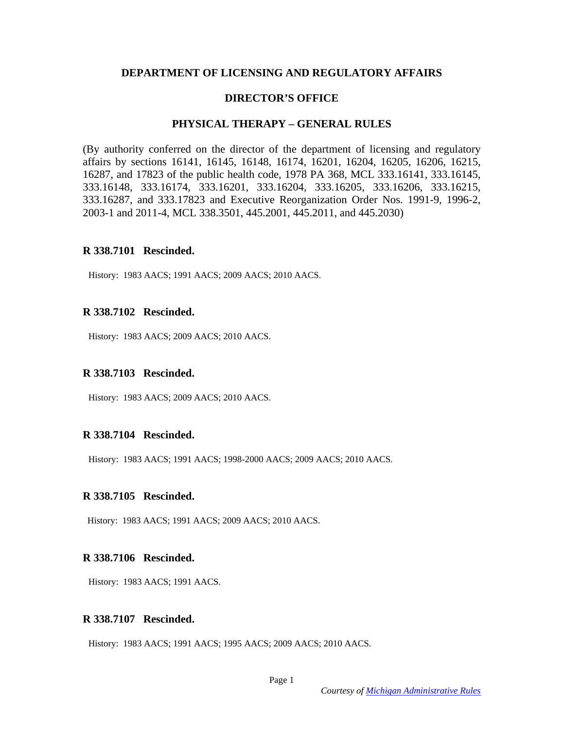### **DEPARTMENT OF LICENSING AND REGULATORY AFFAIRS**

### **DIRECTOR'S OFFICE**

### **PHYSICAL THERAPY – GENERAL RULES**

(By authority conferred on the director of the department of licensing and regulatory affairs by sections 16141, 16145, 16148, 16174, 16201, 16204, 16205, 16206, 16215, 16287, and 17823 of the public health code, 1978 PA 368, MCL 333.16141, 333.16145, 333.16148, 333.16174, 333.16201, 333.16204, 333.16205, 333.16206, 333.16215, 333.16287, and 333.17823 and Executive Reorganization Order Nos. 1991-9, 1996-2, 2003-1 and 2011-4, MCL 338.3501, 445.2001, 445.2011, and 445.2030)

### **R 338.7101 Rescinded.**

History: 1983 AACS; 1991 AACS; 2009 AACS; 2010 AACS.

### **R 338.7102 Rescinded.**

History: 1983 AACS; 2009 AACS; 2010 AACS.

### **R 338.7103 Rescinded.**

History: 1983 AACS; 2009 AACS; 2010 AACS.

### **R 338.7104 Rescinded.**

History: 1983 AACS; 1991 AACS; 1998-2000 AACS; 2009 AACS; 2010 AACS.

#### **R 338.7105 Rescinded.**

History: 1983 AACS; 1991 AACS; 2009 AACS; 2010 AACS.

### **R 338.7106 Rescinded.**

History: 1983 AACS; 1991 AACS.

#### **R 338.7107 Rescinded.**

History: 1983 AACS; 1991 AACS; 1995 AACS; 2009 AACS; 2010 AACS.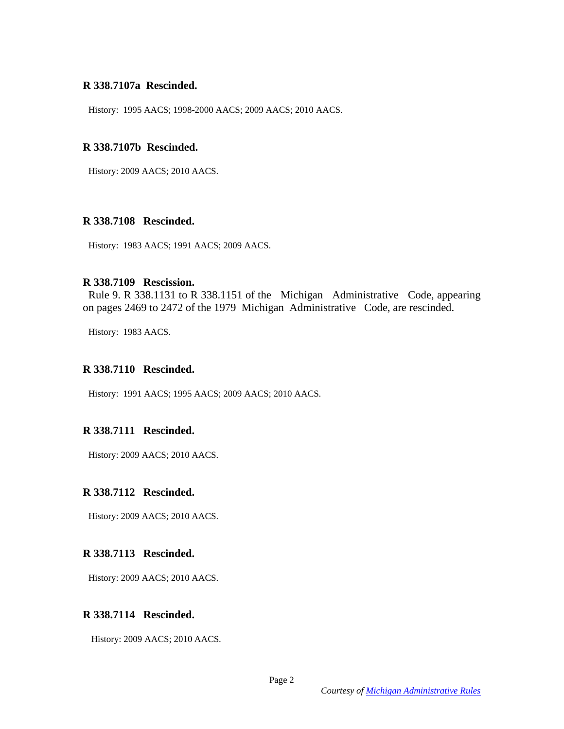#### **R 338.7107a Rescinded.**

History: 1995 AACS; 1998-2000 AACS; 2009 AACS; 2010 AACS.

### **R 338.7107b Rescinded.**

History: 2009 AACS; 2010 AACS.

#### **R 338.7108 Rescinded.**

History: 1983 AACS; 1991 AACS; 2009 AACS.

# **R 338.7109 Rescission.**

 Rule 9. R 338.1131 to R 338.1151 of the Michigan Administrative Code, appearing on pages 2469 to 2472 of the 1979 Michigan Administrative Code, are rescinded.

History: 1983 AACS.

#### **R 338.7110 Rescinded.**

History: 1991 AACS; 1995 AACS; 2009 AACS; 2010 AACS.

## **R 338.7111 Rescinded.**

History: 2009 AACS; 2010 AACS.

### **R 338.7112 Rescinded.**

History: 2009 AACS; 2010 AACS.

### **R 338.7113 Rescinded.**

History: 2009 AACS; 2010 AACS.

## **R 338.7114 Rescinded.**

History: 2009 AACS; 2010 AACS.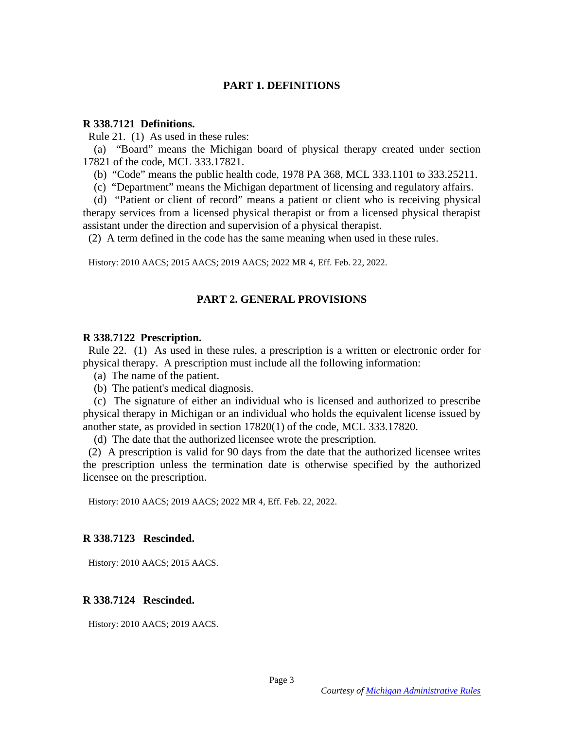## **PART 1. DEFINITIONS**

#### **R 338.7121 Definitions.**

Rule 21. (1) As used in these rules:

 (a) "Board" means the Michigan board of physical therapy created under section 17821 of the code, MCL 333.17821.

(b) "Code" means the public health code, 1978 PA 368, MCL 333.1101 to 333.25211.

(c) "Department" means the Michigan department of licensing and regulatory affairs.

 (d) "Patient or client of record" means a patient or client who is receiving physical therapy services from a licensed physical therapist or from a licensed physical therapist assistant under the direction and supervision of a physical therapist.

(2) A term defined in the code has the same meaning when used in these rules.

History: 2010 AACS; 2015 AACS; 2019 AACS; 2022 MR 4, Eff. Feb. 22, 2022.

#### **PART 2. GENERAL PROVISIONS**

#### **R 338.7122 Prescription.**

 Rule 22. (1) As used in these rules, a prescription is a written or electronic order for physical therapy. A prescription must include all the following information:

- (a) The name of the patient.
- (b) The patient's medical diagnosis.

 (c) The signature of either an individual who is licensed and authorized to prescribe physical therapy in Michigan or an individual who holds the equivalent license issued by another state, as provided in section 17820(1) of the code, MCL 333.17820.

(d) The date that the authorized licensee wrote the prescription.

 (2) A prescription is valid for 90 days from the date that the authorized licensee writes the prescription unless the termination date is otherwise specified by the authorized licensee on the prescription.

History: 2010 AACS; 2019 AACS; 2022 MR 4, Eff. Feb. 22, 2022.

### **R 338.7123 Rescinded.**

History: 2010 AACS; 2015 AACS.

### **R 338.7124 Rescinded.**

History: 2010 AACS; 2019 AACS.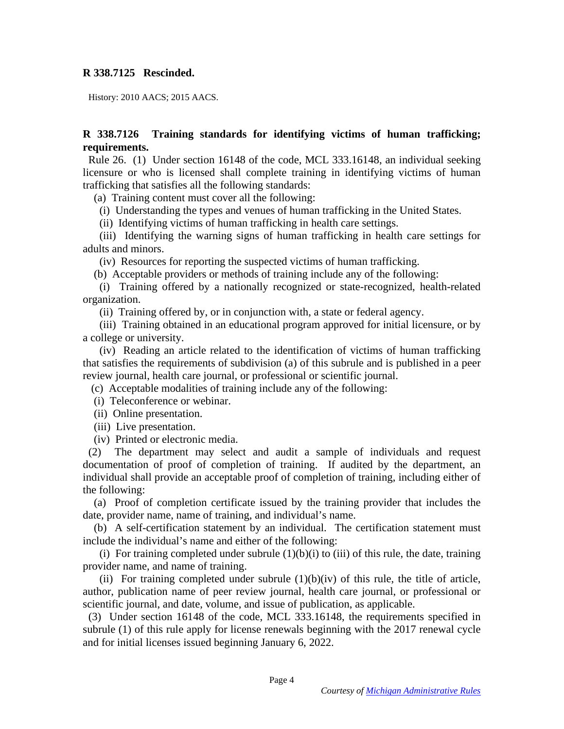## **R 338.7125 Rescinded.**

History: 2010 AACS; 2015 AACS.

# **R 338.7126 Training standards for identifying victims of human trafficking; requirements.**

 Rule 26. (1) Under section 16148 of the code, MCL 333.16148, an individual seeking licensure or who is licensed shall complete training in identifying victims of human trafficking that satisfies all the following standards:

(a) Training content must cover all the following:

(i) Understanding the types and venues of human trafficking in the United States.

(ii) Identifying victims of human trafficking in health care settings.

 (iii) Identifying the warning signs of human trafficking in health care settings for adults and minors.

(iv) Resources for reporting the suspected victims of human trafficking.

(b) Acceptable providers or methods of training include any of the following:

 (i) Training offered by a nationally recognized or state-recognized, health-related organization.

(ii) Training offered by, or in conjunction with, a state or federal agency.

 (iii) Training obtained in an educational program approved for initial licensure, or by a college or university.

 (iv) Reading an article related to the identification of victims of human trafficking that satisfies the requirements of subdivision (a) of this subrule and is published in a peer review journal, health care journal, or professional or scientific journal.

(c) Acceptable modalities of training include any of the following:

(i) Teleconference or webinar.

(ii) Online presentation.

(iii) Live presentation.

(iv) Printed or electronic media.

 (2) The department may select and audit a sample of individuals and request documentation of proof of completion of training. If audited by the department, an individual shall provide an acceptable proof of completion of training, including either of the following:

 (a) Proof of completion certificate issued by the training provider that includes the date, provider name, name of training, and individual's name.

 (b) A self-certification statement by an individual. The certification statement must include the individual's name and either of the following:

(i) For training completed under subrule  $(1)(b)(i)$  to (iii) of this rule, the date, training provider name, and name of training.

(ii) For training completed under subrule  $(1)(b)(iv)$  of this rule, the title of article, author, publication name of peer review journal, health care journal, or professional or scientific journal, and date, volume, and issue of publication, as applicable.

 (3) Under section 16148 of the code, MCL 333.16148, the requirements specified in subrule (1) of this rule apply for license renewals beginning with the 2017 renewal cycle and for initial licenses issued beginning January 6, 2022.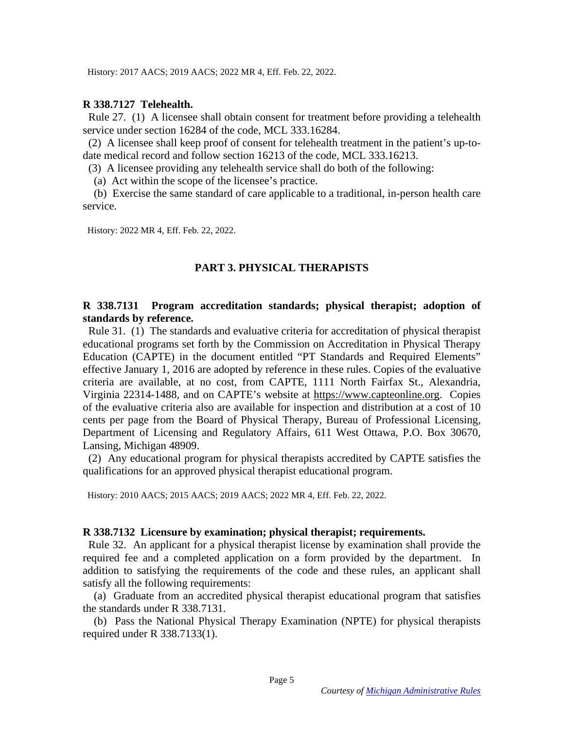History: 2017 AACS; 2019 AACS; 2022 MR 4, Eff. Feb. 22, 2022.

### **R 338.7127 Telehealth.**

 Rule 27. (1) A licensee shall obtain consent for treatment before providing a telehealth service under section 16284 of the code, MCL 333.16284.

 (2) A licensee shall keep proof of consent for telehealth treatment in the patient's up-todate medical record and follow section 16213 of the code, MCL 333.16213.

(3) A licensee providing any telehealth service shall do both of the following:

(a) Act within the scope of the licensee's practice.

 (b) Exercise the same standard of care applicable to a traditional, in-person health care service.

History: 2022 MR 4, Eff. Feb. 22, 2022.

# **PART 3. PHYSICAL THERAPISTS**

# **R 338.7131 Program accreditation standards; physical therapist; adoption of standards by reference.**

 Rule 31. (1) The standards and evaluative criteria for accreditation of physical therapist educational programs set forth by the Commission on Accreditation in Physical Therapy Education (CAPTE) in the document entitled "PT Standards and Required Elements" effective January 1, 2016 are adopted by reference in these rules. Copies of the evaluative criteria are available, at no cost, from CAPTE, 1111 North Fairfax St., Alexandria, Virginia 22314-1488, and on CAPTE's website at https://www.capteonline.org. Copies of the evaluative criteria also are available for inspection and distribution at a cost of 10 cents per page from the Board of Physical Therapy, Bureau of Professional Licensing, Department of Licensing and Regulatory Affairs, 611 West Ottawa, P.O. Box 30670, Lansing, Michigan 48909.

 (2) Any educational program for physical therapists accredited by CAPTE satisfies the qualifications for an approved physical therapist educational program.

History: 2010 AACS; 2015 AACS; 2019 AACS; 2022 MR 4, Eff. Feb. 22, 2022.

### **R 338.7132 Licensure by examination; physical therapist; requirements.**

 Rule 32. An applicant for a physical therapist license by examination shall provide the required fee and a completed application on a form provided by the department. In addition to satisfying the requirements of the code and these rules, an applicant shall satisfy all the following requirements:

 (a) Graduate from an accredited physical therapist educational program that satisfies the standards under R 338.7131.

 (b) Pass the National Physical Therapy Examination (NPTE) for physical therapists required under R 338.7133(1).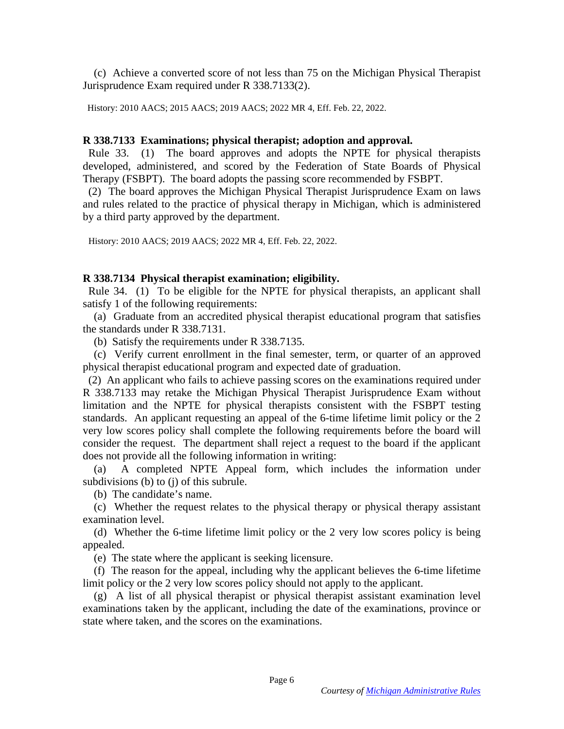(c) Achieve a converted score of not less than 75 on the Michigan Physical Therapist Jurisprudence Exam required under R 338.7133(2).

History: 2010 AACS; 2015 AACS; 2019 AACS; 2022 MR 4, Eff. Feb. 22, 2022.

#### **R 338.7133 Examinations; physical therapist; adoption and approval.**

 Rule 33. (1) The board approves and adopts the NPTE for physical therapists developed, administered, and scored by the Federation of State Boards of Physical Therapy (FSBPT). The board adopts the passing score recommended by FSBPT.

 (2) The board approves the Michigan Physical Therapist Jurisprudence Exam on laws and rules related to the practice of physical therapy in Michigan, which is administered by a third party approved by the department.

History: 2010 AACS; 2019 AACS; 2022 MR 4, Eff. Feb. 22, 2022.

### **R 338.7134 Physical therapist examination; eligibility.**

 Rule 34. (1) To be eligible for the NPTE for physical therapists, an applicant shall satisfy 1 of the following requirements:

 (a) Graduate from an accredited physical therapist educational program that satisfies the standards under R 338.7131.

(b) Satisfy the requirements under R 338.7135.

 (c) Verify current enrollment in the final semester, term, or quarter of an approved physical therapist educational program and expected date of graduation.

 (2) An applicant who fails to achieve passing scores on the examinations required under R 338.7133 may retake the Michigan Physical Therapist Jurisprudence Exam without limitation and the NPTE for physical therapists consistent with the FSBPT testing standards. An applicant requesting an appeal of the 6-time lifetime limit policy or the 2 very low scores policy shall complete the following requirements before the board will consider the request. The department shall reject a request to the board if the applicant does not provide all the following information in writing:

 (a) A completed NPTE Appeal form, which includes the information under subdivisions (b) to (j) of this subrule.

(b) The candidate's name.

 (c) Whether the request relates to the physical therapy or physical therapy assistant examination level.

 (d) Whether the 6-time lifetime limit policy or the 2 very low scores policy is being appealed.

(e) The state where the applicant is seeking licensure.

 (f) The reason for the appeal, including why the applicant believes the 6-time lifetime limit policy or the 2 very low scores policy should not apply to the applicant.

 (g) A list of all physical therapist or physical therapist assistant examination level examinations taken by the applicant, including the date of the examinations, province or state where taken, and the scores on the examinations.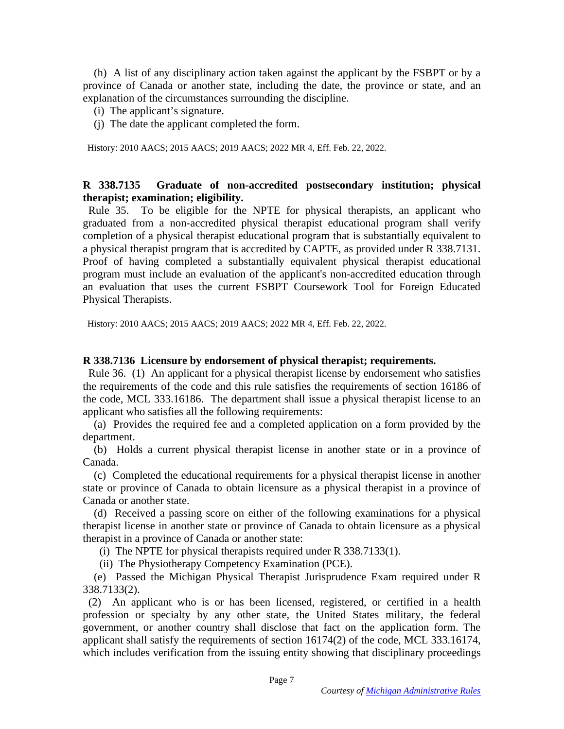(h) A list of any disciplinary action taken against the applicant by the FSBPT or by a province of Canada or another state, including the date, the province or state, and an explanation of the circumstances surrounding the discipline.

- (i) The applicant's signature.
- (j) The date the applicant completed the form.

History: 2010 AACS; 2015 AACS; 2019 AACS; 2022 MR 4, Eff. Feb. 22, 2022.

# **R 338.7135 Graduate of non-accredited postsecondary institution; physical therapist; examination; eligibility.**

 Rule 35. To be eligible for the NPTE for physical therapists, an applicant who graduated from a non-accredited physical therapist educational program shall verify completion of a physical therapist educational program that is substantially equivalent to a physical therapist program that is accredited by CAPTE, as provided under R 338.7131. Proof of having completed a substantially equivalent physical therapist educational program must include an evaluation of the applicant's non-accredited education through an evaluation that uses the current FSBPT Coursework Tool for Foreign Educated Physical Therapists.

History: 2010 AACS; 2015 AACS; 2019 AACS; 2022 MR 4, Eff. Feb. 22, 2022.

### **R 338.7136 Licensure by endorsement of physical therapist; requirements.**

 Rule 36. (1) An applicant for a physical therapist license by endorsement who satisfies the requirements of the code and this rule satisfies the requirements of section 16186 of the code, MCL 333.16186. The department shall issue a physical therapist license to an applicant who satisfies all the following requirements:

 (a) Provides the required fee and a completed application on a form provided by the department.

 (b) Holds a current physical therapist license in another state or in a province of Canada.

 (c) Completed the educational requirements for a physical therapist license in another state or province of Canada to obtain licensure as a physical therapist in a province of Canada or another state.

 (d) Received a passing score on either of the following examinations for a physical therapist license in another state or province of Canada to obtain licensure as a physical therapist in a province of Canada or another state:

(i) The NPTE for physical therapists required under R 338.7133(1).

(ii) The Physiotherapy Competency Examination (PCE).

 (e) Passed the Michigan Physical Therapist Jurisprudence Exam required under R 338.7133(2).

 (2) An applicant who is or has been licensed, registered, or certified in a health profession or specialty by any other state, the United States military, the federal government, or another country shall disclose that fact on the application form. The applicant shall satisfy the requirements of section 16174(2) of the code, MCL 333.16174, which includes verification from the issuing entity showing that disciplinary proceedings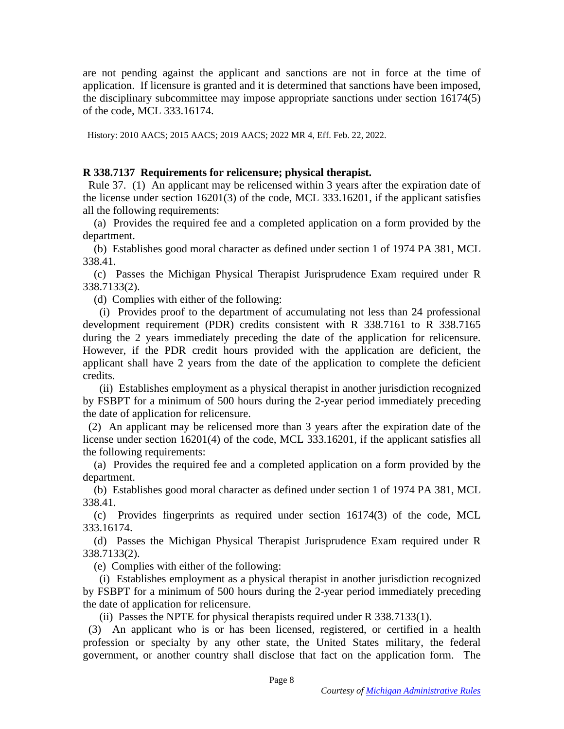are not pending against the applicant and sanctions are not in force at the time of application. If licensure is granted and it is determined that sanctions have been imposed, the disciplinary subcommittee may impose appropriate sanctions under section 16174(5) of the code, MCL 333.16174.

History: 2010 AACS; 2015 AACS; 2019 AACS; 2022 MR 4, Eff. Feb. 22, 2022.

# **R 338.7137 Requirements for relicensure; physical therapist.**

 Rule 37. (1) An applicant may be relicensed within 3 years after the expiration date of the license under section 16201(3) of the code, MCL 333.16201, if the applicant satisfies all the following requirements:

 (a) Provides the required fee and a completed application on a form provided by the department.

 (b) Establishes good moral character as defined under section 1 of 1974 PA 381, MCL 338.41.

 (c) Passes the Michigan Physical Therapist Jurisprudence Exam required under R 338.7133(2).

(d) Complies with either of the following:

 (i) Provides proof to the department of accumulating not less than 24 professional development requirement (PDR) credits consistent with R 338.7161 to R 338.7165 during the 2 years immediately preceding the date of the application for relicensure. However, if the PDR credit hours provided with the application are deficient, the applicant shall have 2 years from the date of the application to complete the deficient credits.

 (ii) Establishes employment as a physical therapist in another jurisdiction recognized by FSBPT for a minimum of 500 hours during the 2-year period immediately preceding the date of application for relicensure.

 (2) An applicant may be relicensed more than 3 years after the expiration date of the license under section 16201(4) of the code, MCL 333.16201, if the applicant satisfies all the following requirements:

 (a) Provides the required fee and a completed application on a form provided by the department.

 (b) Establishes good moral character as defined under section 1 of 1974 PA 381, MCL 338.41.

 (c) Provides fingerprints as required under section 16174(3) of the code, MCL 333.16174.

 (d) Passes the Michigan Physical Therapist Jurisprudence Exam required under R 338.7133(2).

(e) Complies with either of the following:

 (i) Establishes employment as a physical therapist in another jurisdiction recognized by FSBPT for a minimum of 500 hours during the 2-year period immediately preceding the date of application for relicensure.

(ii) Passes the NPTE for physical therapists required under R 338.7133(1).

 (3) An applicant who is or has been licensed, registered, or certified in a health profession or specialty by any other state, the United States military, the federal government, or another country shall disclose that fact on the application form. The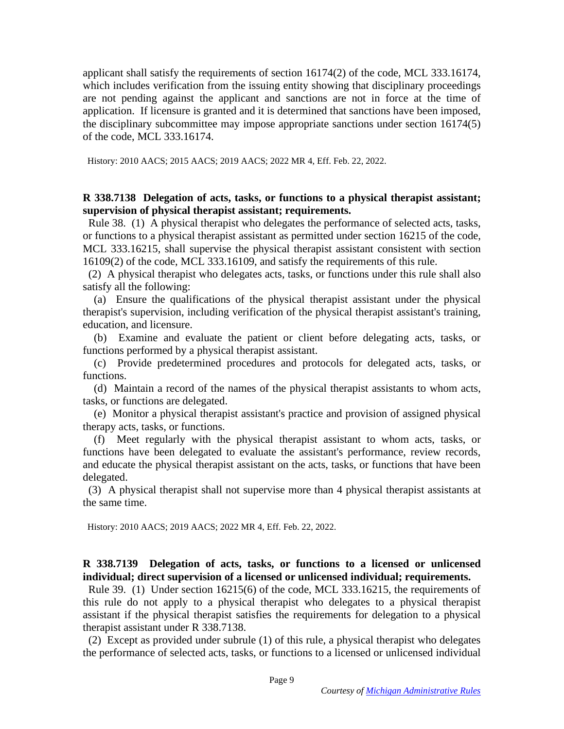applicant shall satisfy the requirements of section 16174(2) of the code, MCL 333.16174, which includes verification from the issuing entity showing that disciplinary proceedings are not pending against the applicant and sanctions are not in force at the time of application. If licensure is granted and it is determined that sanctions have been imposed, the disciplinary subcommittee may impose appropriate sanctions under section 16174(5) of the code, MCL 333.16174.

History: 2010 AACS; 2015 AACS; 2019 AACS; 2022 MR 4, Eff. Feb. 22, 2022.

## **R 338.7138 Delegation of acts, tasks, or functions to a physical therapist assistant; supervision of physical therapist assistant; requirements.**

 Rule 38. (1) A physical therapist who delegates the performance of selected acts, tasks, or functions to a physical therapist assistant as permitted under section 16215 of the code, MCL 333.16215, shall supervise the physical therapist assistant consistent with section 16109(2) of the code, MCL 333.16109, and satisfy the requirements of this rule.

 (2) A physical therapist who delegates acts, tasks, or functions under this rule shall also satisfy all the following:

 (a) Ensure the qualifications of the physical therapist assistant under the physical therapist's supervision, including verification of the physical therapist assistant's training, education, and licensure.

 (b) Examine and evaluate the patient or client before delegating acts, tasks, or functions performed by a physical therapist assistant.

 (c) Provide predetermined procedures and protocols for delegated acts, tasks, or functions.

 (d) Maintain a record of the names of the physical therapist assistants to whom acts, tasks, or functions are delegated.

 (e) Monitor a physical therapist assistant's practice and provision of assigned physical therapy acts, tasks, or functions.

 (f) Meet regularly with the physical therapist assistant to whom acts, tasks, or functions have been delegated to evaluate the assistant's performance, review records, and educate the physical therapist assistant on the acts, tasks, or functions that have been delegated.

 (3) A physical therapist shall not supervise more than 4 physical therapist assistants at the same time.

History: 2010 AACS; 2019 AACS; 2022 MR 4, Eff. Feb. 22, 2022.

**R 338.7139 Delegation of acts, tasks, or functions to a licensed or unlicensed individual; direct supervision of a licensed or unlicensed individual; requirements.** 

 Rule 39. (1) Under section 16215(6) of the code, MCL 333.16215, the requirements of this rule do not apply to a physical therapist who delegates to a physical therapist assistant if the physical therapist satisfies the requirements for delegation to a physical therapist assistant under R 338.7138.

 (2) Except as provided under subrule (1) of this rule, a physical therapist who delegates the performance of selected acts, tasks, or functions to a licensed or unlicensed individual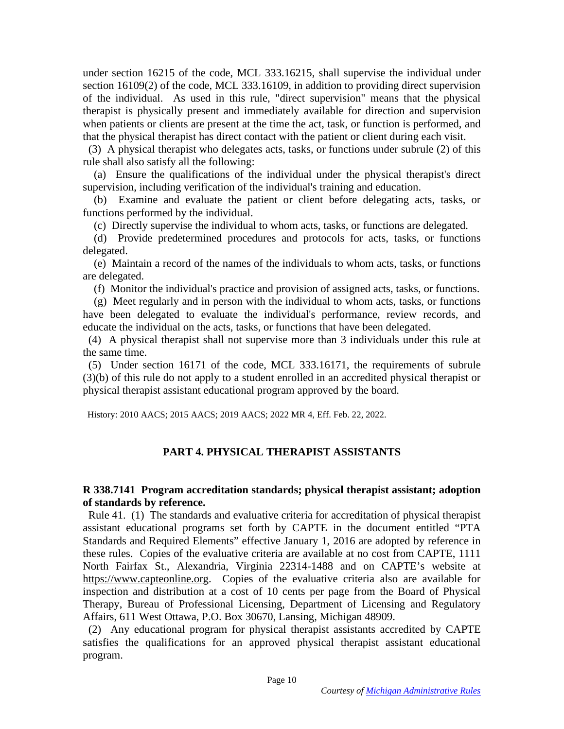under section 16215 of the code, MCL 333.16215, shall supervise the individual under section 16109(2) of the code, MCL 333.16109, in addition to providing direct supervision of the individual. As used in this rule, "direct supervision" means that the physical therapist is physically present and immediately available for direction and supervision when patients or clients are present at the time the act, task, or function is performed, and that the physical therapist has direct contact with the patient or client during each visit.

 (3) A physical therapist who delegates acts, tasks, or functions under subrule (2) of this rule shall also satisfy all the following:

 (a) Ensure the qualifications of the individual under the physical therapist's direct supervision, including verification of the individual's training and education.

 (b) Examine and evaluate the patient or client before delegating acts, tasks, or functions performed by the individual.

(c) Directly supervise the individual to whom acts, tasks, or functions are delegated.

 (d) Provide predetermined procedures and protocols for acts, tasks, or functions delegated.

 (e) Maintain a record of the names of the individuals to whom acts, tasks, or functions are delegated.

(f) Monitor the individual's practice and provision of assigned acts, tasks, or functions.

 (g) Meet regularly and in person with the individual to whom acts, tasks, or functions have been delegated to evaluate the individual's performance, review records, and educate the individual on the acts, tasks, or functions that have been delegated.

 (4) A physical therapist shall not supervise more than 3 individuals under this rule at the same time.

 (5) Under section 16171 of the code, MCL 333.16171, the requirements of subrule (3)(b) of this rule do not apply to a student enrolled in an accredited physical therapist or physical therapist assistant educational program approved by the board.

History: 2010 AACS; 2015 AACS; 2019 AACS; 2022 MR 4, Eff. Feb. 22, 2022.

# **PART 4. PHYSICAL THERAPIST ASSISTANTS**

# **R 338.7141 Program accreditation standards; physical therapist assistant; adoption of standards by reference.**

 Rule 41. (1) The standards and evaluative criteria for accreditation of physical therapist assistant educational programs set forth by CAPTE in the document entitled "PTA Standards and Required Elements" effective January 1, 2016 are adopted by reference in these rules. Copies of the evaluative criteria are available at no cost from CAPTE, 1111 North Fairfax St., Alexandria, Virginia 22314-1488 and on CAPTE's website at https://www.capteonline.org. Copies of the evaluative criteria also are available for inspection and distribution at a cost of 10 cents per page from the Board of Physical Therapy, Bureau of Professional Licensing, Department of Licensing and Regulatory Affairs, 611 West Ottawa, P.O. Box 30670, Lansing, Michigan 48909.

 (2) Any educational program for physical therapist assistants accredited by CAPTE satisfies the qualifications for an approved physical therapist assistant educational program.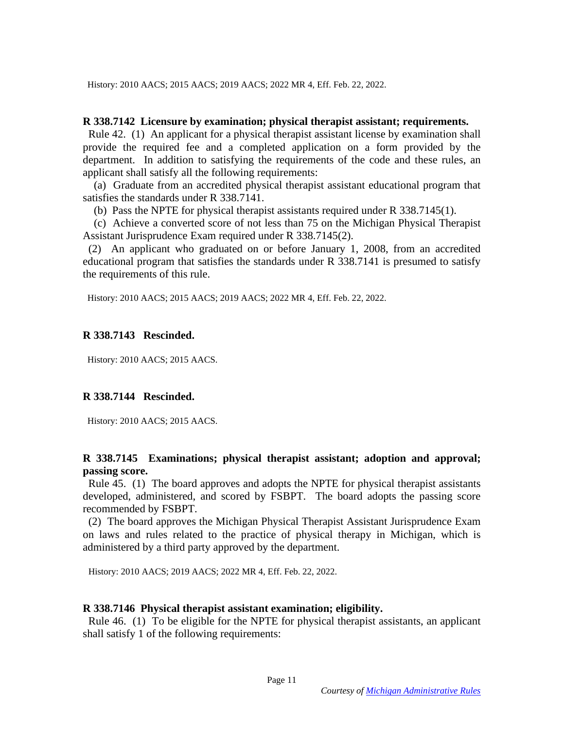History: 2010 AACS; 2015 AACS; 2019 AACS; 2022 MR 4, Eff. Feb. 22, 2022.

#### **R 338.7142 Licensure by examination; physical therapist assistant; requirements.**

 Rule 42. (1) An applicant for a physical therapist assistant license by examination shall provide the required fee and a completed application on a form provided by the department. In addition to satisfying the requirements of the code and these rules, an applicant shall satisfy all the following requirements:

 (a) Graduate from an accredited physical therapist assistant educational program that satisfies the standards under R 338.7141.

(b) Pass the NPTE for physical therapist assistants required under R 338.7145(1).

 (c) Achieve a converted score of not less than 75 on the Michigan Physical Therapist Assistant Jurisprudence Exam required under R 338.7145(2).

 (2) An applicant who graduated on or before January 1, 2008, from an accredited educational program that satisfies the standards under R 338.7141 is presumed to satisfy the requirements of this rule.

History: 2010 AACS; 2015 AACS; 2019 AACS; 2022 MR 4, Eff. Feb. 22, 2022.

### **R 338.7143 Rescinded.**

History: 2010 AACS; 2015 AACS.

## **R 338.7144 Rescinded.**

History: 2010 AACS; 2015 AACS.

## **R 338.7145 Examinations; physical therapist assistant; adoption and approval; passing score.**

 Rule 45. (1) The board approves and adopts the NPTE for physical therapist assistants developed, administered, and scored by FSBPT. The board adopts the passing score recommended by FSBPT.

 (2) The board approves the Michigan Physical Therapist Assistant Jurisprudence Exam on laws and rules related to the practice of physical therapy in Michigan, which is administered by a third party approved by the department.

History: 2010 AACS; 2019 AACS; 2022 MR 4, Eff. Feb. 22, 2022.

#### **R 338.7146 Physical therapist assistant examination; eligibility.**

 Rule 46. (1) To be eligible for the NPTE for physical therapist assistants, an applicant shall satisfy 1 of the following requirements: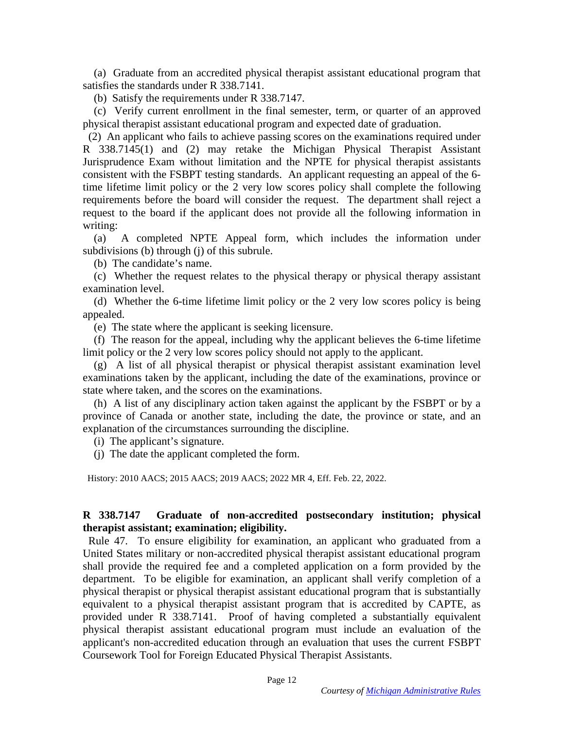(a) Graduate from an accredited physical therapist assistant educational program that satisfies the standards under R 338.7141.

(b) Satisfy the requirements under R 338.7147.

 (c) Verify current enrollment in the final semester, term, or quarter of an approved physical therapist assistant educational program and expected date of graduation.

 (2) An applicant who fails to achieve passing scores on the examinations required under R 338.7145(1) and (2) may retake the Michigan Physical Therapist Assistant Jurisprudence Exam without limitation and the NPTE for physical therapist assistants consistent with the FSBPT testing standards. An applicant requesting an appeal of the 6 time lifetime limit policy or the 2 very low scores policy shall complete the following requirements before the board will consider the request. The department shall reject a request to the board if the applicant does not provide all the following information in writing:

 (a) A completed NPTE Appeal form, which includes the information under subdivisions (b) through (j) of this subrule.

(b) The candidate's name.

 (c) Whether the request relates to the physical therapy or physical therapy assistant examination level.

 (d) Whether the 6-time lifetime limit policy or the 2 very low scores policy is being appealed.

(e) The state where the applicant is seeking licensure.

 (f) The reason for the appeal, including why the applicant believes the 6-time lifetime limit policy or the 2 very low scores policy should not apply to the applicant.

 (g) A list of all physical therapist or physical therapist assistant examination level examinations taken by the applicant, including the date of the examinations, province or state where taken, and the scores on the examinations.

 (h) A list of any disciplinary action taken against the applicant by the FSBPT or by a province of Canada or another state, including the date, the province or state, and an explanation of the circumstances surrounding the discipline.

(i) The applicant's signature.

(j) The date the applicant completed the form.

History: 2010 AACS; 2015 AACS; 2019 AACS; 2022 MR 4, Eff. Feb. 22, 2022.

# **R 338.7147 Graduate of non-accredited postsecondary institution; physical therapist assistant; examination; eligibility.**

 Rule 47. To ensure eligibility for examination, an applicant who graduated from a United States military or non-accredited physical therapist assistant educational program shall provide the required fee and a completed application on a form provided by the department. To be eligible for examination, an applicant shall verify completion of a physical therapist or physical therapist assistant educational program that is substantially equivalent to a physical therapist assistant program that is accredited by CAPTE, as provided under R 338.7141. Proof of having completed a substantially equivalent physical therapist assistant educational program must include an evaluation of the applicant's non-accredited education through an evaluation that uses the current FSBPT Coursework Tool for Foreign Educated Physical Therapist Assistants.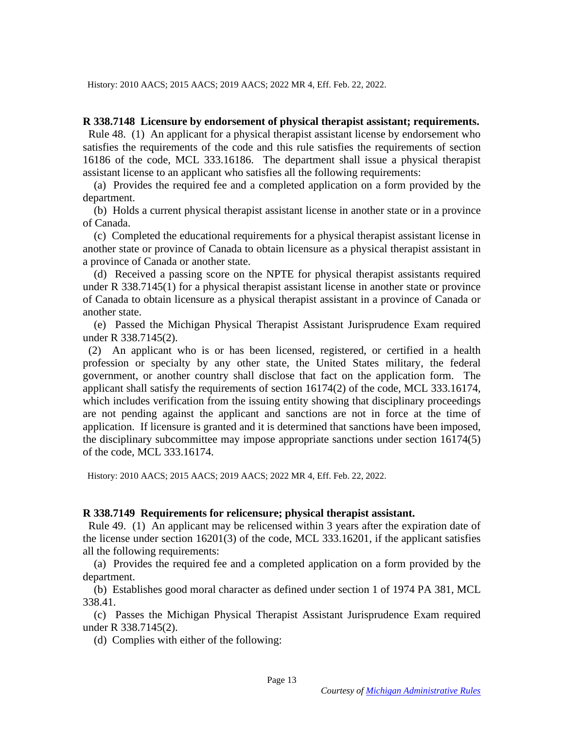History: 2010 AACS; 2015 AACS; 2019 AACS; 2022 MR 4, Eff. Feb. 22, 2022.

#### **R 338.7148 Licensure by endorsement of physical therapist assistant; requirements.**

 Rule 48. (1) An applicant for a physical therapist assistant license by endorsement who satisfies the requirements of the code and this rule satisfies the requirements of section 16186 of the code, MCL 333.16186. The department shall issue a physical therapist assistant license to an applicant who satisfies all the following requirements:

 (a) Provides the required fee and a completed application on a form provided by the department.

 (b) Holds a current physical therapist assistant license in another state or in a province of Canada.

 (c) Completed the educational requirements for a physical therapist assistant license in another state or province of Canada to obtain licensure as a physical therapist assistant in a province of Canada or another state.

 (d) Received a passing score on the NPTE for physical therapist assistants required under R 338.7145(1) for a physical therapist assistant license in another state or province of Canada to obtain licensure as a physical therapist assistant in a province of Canada or another state.

 (e) Passed the Michigan Physical Therapist Assistant Jurisprudence Exam required under R 338.7145(2).

 (2) An applicant who is or has been licensed, registered, or certified in a health profession or specialty by any other state, the United States military, the federal government, or another country shall disclose that fact on the application form. The applicant shall satisfy the requirements of section 16174(2) of the code, MCL 333.16174, which includes verification from the issuing entity showing that disciplinary proceedings are not pending against the applicant and sanctions are not in force at the time of application. If licensure is granted and it is determined that sanctions have been imposed, the disciplinary subcommittee may impose appropriate sanctions under section 16174(5) of the code, MCL 333.16174.

History: 2010 AACS; 2015 AACS; 2019 AACS; 2022 MR 4, Eff. Feb. 22, 2022.

### **R 338.7149 Requirements for relicensure; physical therapist assistant.**

 Rule 49. (1) An applicant may be relicensed within 3 years after the expiration date of the license under section 16201(3) of the code, MCL 333.16201, if the applicant satisfies all the following requirements:

 (a) Provides the required fee and a completed application on a form provided by the department.

 (b) Establishes good moral character as defined under section 1 of 1974 PA 381, MCL 338.41.

 (c) Passes the Michigan Physical Therapist Assistant Jurisprudence Exam required under R 338.7145(2).

(d) Complies with either of the following: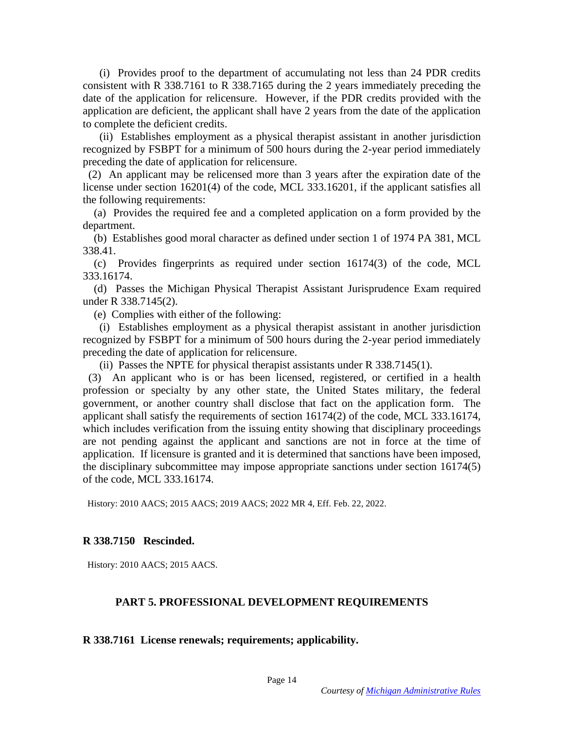(i) Provides proof to the department of accumulating not less than 24 PDR credits consistent with R 338.7161 to R 338.7165 during the 2 years immediately preceding the date of the application for relicensure. However, if the PDR credits provided with the application are deficient, the applicant shall have 2 years from the date of the application to complete the deficient credits.

 (ii) Establishes employment as a physical therapist assistant in another jurisdiction recognized by FSBPT for a minimum of 500 hours during the 2-year period immediately preceding the date of application for relicensure.

 (2) An applicant may be relicensed more than 3 years after the expiration date of the license under section 16201(4) of the code, MCL 333.16201, if the applicant satisfies all the following requirements:

 (a) Provides the required fee and a completed application on a form provided by the department.

 (b) Establishes good moral character as defined under section 1 of 1974 PA 381, MCL 338.41.

 (c) Provides fingerprints as required under section 16174(3) of the code, MCL 333.16174.

 (d) Passes the Michigan Physical Therapist Assistant Jurisprudence Exam required under R 338.7145(2).

(e) Complies with either of the following:

 (i) Establishes employment as a physical therapist assistant in another jurisdiction recognized by FSBPT for a minimum of 500 hours during the 2-year period immediately preceding the date of application for relicensure.

(ii) Passes the NPTE for physical therapist assistants under R 338.7145(1).

 (3) An applicant who is or has been licensed, registered, or certified in a health profession or specialty by any other state, the United States military, the federal government, or another country shall disclose that fact on the application form. The applicant shall satisfy the requirements of section 16174(2) of the code, MCL 333.16174, which includes verification from the issuing entity showing that disciplinary proceedings are not pending against the applicant and sanctions are not in force at the time of application. If licensure is granted and it is determined that sanctions have been imposed, the disciplinary subcommittee may impose appropriate sanctions under section 16174(5) of the code, MCL 333.16174.

History: 2010 AACS; 2015 AACS; 2019 AACS; 2022 MR 4, Eff. Feb. 22, 2022.

#### **R 338.7150 Rescinded.**

History: 2010 AACS; 2015 AACS.

### **PART 5. PROFESSIONAL DEVELOPMENT REQUIREMENTS**

### **R 338.7161 License renewals; requirements; applicability.**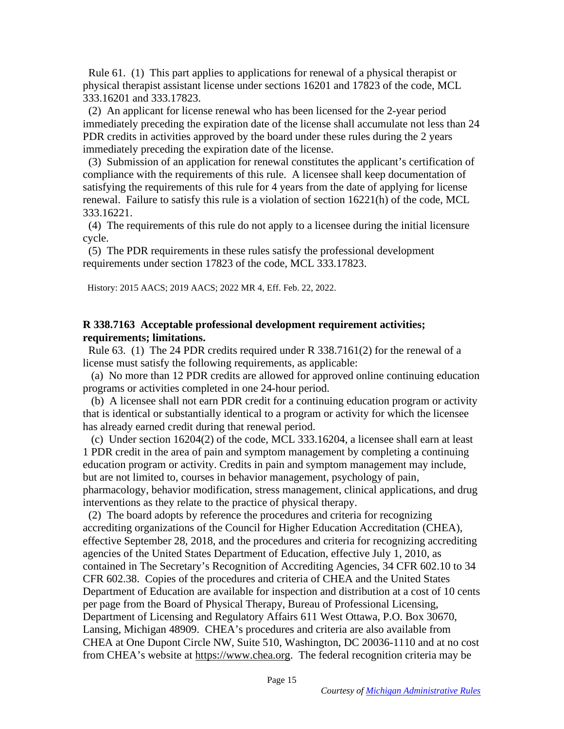Rule 61. (1) This part applies to applications for renewal of a physical therapist or physical therapist assistant license under sections 16201 and 17823 of the code, MCL 333.16201 and 333.17823.

 (2) An applicant for license renewal who has been licensed for the 2-year period immediately preceding the expiration date of the license shall accumulate not less than 24 PDR credits in activities approved by the board under these rules during the 2 years immediately preceding the expiration date of the license.

 (3) Submission of an application for renewal constitutes the applicant's certification of compliance with the requirements of this rule. A licensee shall keep documentation of satisfying the requirements of this rule for 4 years from the date of applying for license renewal. Failure to satisfy this rule is a violation of section 16221(h) of the code, MCL 333.16221.

 (4) The requirements of this rule do not apply to a licensee during the initial licensure cycle.

 (5) The PDR requirements in these rules satisfy the professional development requirements under section 17823 of the code, MCL 333.17823.

History: 2015 AACS; 2019 AACS; 2022 MR 4, Eff. Feb. 22, 2022.

# **R 338.7163 Acceptable professional development requirement activities; requirements; limitations.**

 Rule 63. (1) The 24 PDR credits required under R 338.7161(2) for the renewal of a license must satisfy the following requirements, as applicable:

 (a) No more than 12 PDR credits are allowed for approved online continuing education programs or activities completed in one 24-hour period.

 (b) A licensee shall not earn PDR credit for a continuing education program or activity that is identical or substantially identical to a program or activity for which the licensee has already earned credit during that renewal period.

 (c) Under section 16204(2) of the code, MCL 333.16204, a licensee shall earn at least 1 PDR credit in the area of pain and symptom management by completing a continuing education program or activity. Credits in pain and symptom management may include, but are not limited to, courses in behavior management, psychology of pain, pharmacology, behavior modification, stress management, clinical applications, and drug interventions as they relate to the practice of physical therapy.

 (2) The board adopts by reference the procedures and criteria for recognizing accrediting organizations of the Council for Higher Education Accreditation (CHEA), effective September 28, 2018, and the procedures and criteria for recognizing accrediting agencies of the United States Department of Education, effective July 1, 2010, as contained in The Secretary's Recognition of Accrediting Agencies, 34 CFR 602.10 to 34 CFR 602.38. Copies of the procedures and criteria of CHEA and the United States Department of Education are available for inspection and distribution at a cost of 10 cents per page from the Board of Physical Therapy, Bureau of Professional Licensing, Department of Licensing and Regulatory Affairs 611 West Ottawa, P.O. Box 30670, Lansing, Michigan 48909. CHEA's procedures and criteria are also available from CHEA at One Dupont Circle NW, Suite 510, Washington, DC 20036-1110 and at no cost from CHEA's website at https://www.chea.org. The federal recognition criteria may be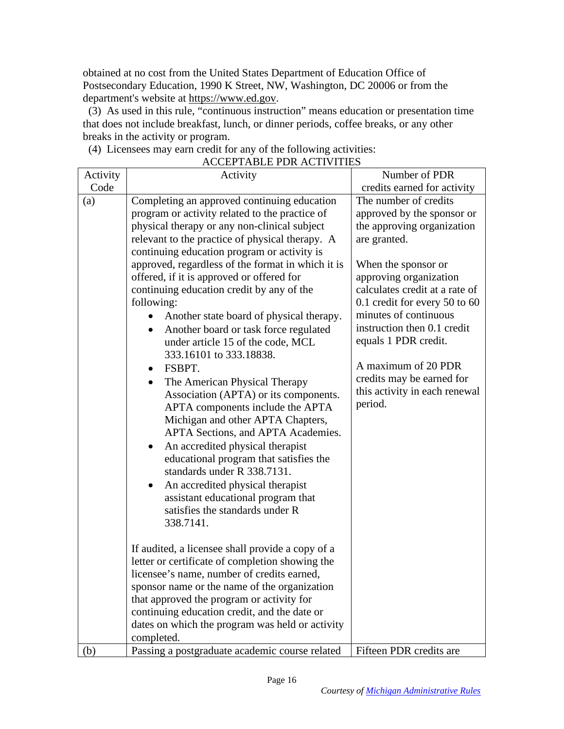obtained at no cost from the United States Department of Education Office of Postsecondary Education, 1990 K Street, NW, Washington, DC 20006 or from the department's website at https://www.ed.gov.

 (3) As used in this rule, "continuous instruction" means education or presentation time that does not include breakfast, lunch, or dinner periods, coffee breaks, or any other breaks in the activity or program.

(4) Licensees may earn credit for any of the following activities:

|          | ACCEL TABLE I DRACH VIIILD                            | Number of PDR                  |
|----------|-------------------------------------------------------|--------------------------------|
| Activity | Activity                                              |                                |
| Code     |                                                       | credits earned for activity    |
| (a)      | Completing an approved continuing education           | The number of credits          |
|          | program or activity related to the practice of        | approved by the sponsor or     |
|          | physical therapy or any non-clinical subject          | the approving organization     |
|          | relevant to the practice of physical therapy. A       | are granted.                   |
|          | continuing education program or activity is           |                                |
|          | approved, regardless of the format in which it is     | When the sponsor or            |
|          | offered, if it is approved or offered for             | approving organization         |
|          | continuing education credit by any of the             | calculates credit at a rate of |
|          | following:                                            | 0.1 credit for every 50 to 60  |
|          | Another state board of physical therapy.<br>$\bullet$ | minutes of continuous          |
|          | Another board or task force regulated                 | instruction then 0.1 credit    |
|          | under article 15 of the code, MCL                     | equals 1 PDR credit.           |
|          | 333.16101 to 333.18838.                               |                                |
|          | FSBPT.<br>$\bullet$                                   | A maximum of 20 PDR            |
|          | The American Physical Therapy<br>$\bullet$            | credits may be earned for      |
|          | Association (APTA) or its components.                 | this activity in each renewal  |
|          | APTA components include the APTA                      | period.                        |
|          | Michigan and other APTA Chapters,                     |                                |
|          | APTA Sections, and APTA Academies.                    |                                |
|          | An accredited physical therapist<br>٠                 |                                |
|          | educational program that satisfies the                |                                |
|          | standards under R 338.7131.                           |                                |
|          | An accredited physical therapist                      |                                |
|          | assistant educational program that                    |                                |
|          | satisfies the standards under R                       |                                |
|          | 338.7141.                                             |                                |
|          |                                                       |                                |
|          | If audited, a licensee shall provide a copy of a      |                                |
|          | letter or certificate of completion showing the       |                                |
|          | licensee's name, number of credits earned,            |                                |
|          | sponsor name or the name of the organization          |                                |
|          | that approved the program or activity for             |                                |
|          | continuing education credit, and the date or          |                                |
|          | dates on which the program was held or activity       |                                |
|          | completed.                                            |                                |
| (b)      | Passing a postgraduate academic course related        | Fifteen PDR credits are        |

# ACCEPTABLE PDR ACTIVITIES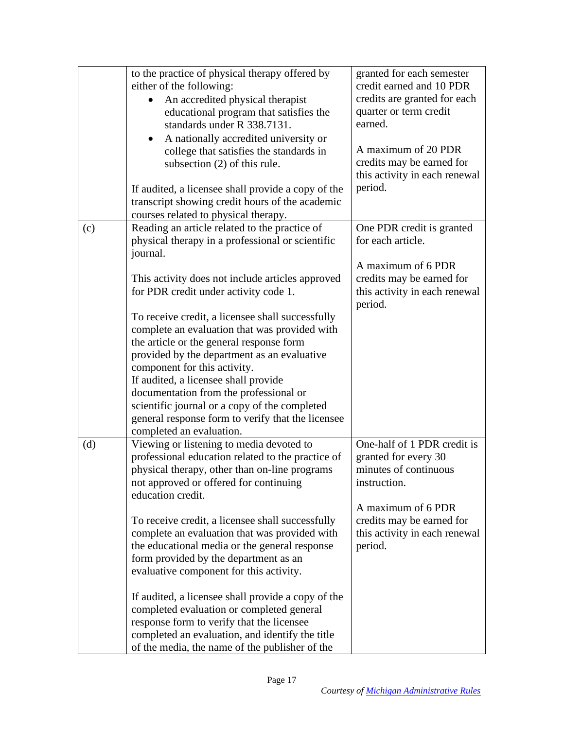|     | to the practice of physical therapy offered by<br>either of the following:<br>An accredited physical therapist<br>educational program that satisfies the<br>standards under R 338.7131.<br>A nationally accredited university or<br>college that satisfies the standards in<br>subsection (2) of this rule.<br>If audited, a licensee shall provide a copy of the<br>transcript showing credit hours of the academic<br>courses related to physical therapy.                                                                                                                                                                                                                                                 | granted for each semester<br>credit earned and 10 PDR<br>credits are granted for each<br>quarter or term credit<br>earned.<br>A maximum of 20 PDR<br>credits may be earned for<br>this activity in each renewal<br>period. |
|-----|--------------------------------------------------------------------------------------------------------------------------------------------------------------------------------------------------------------------------------------------------------------------------------------------------------------------------------------------------------------------------------------------------------------------------------------------------------------------------------------------------------------------------------------------------------------------------------------------------------------------------------------------------------------------------------------------------------------|----------------------------------------------------------------------------------------------------------------------------------------------------------------------------------------------------------------------------|
| (c) | Reading an article related to the practice of<br>physical therapy in a professional or scientific<br>journal.<br>This activity does not include articles approved<br>for PDR credit under activity code 1.<br>To receive credit, a licensee shall successfully<br>complete an evaluation that was provided with<br>the article or the general response form<br>provided by the department as an evaluative<br>component for this activity.<br>If audited, a licensee shall provide<br>documentation from the professional or<br>scientific journal or a copy of the completed<br>general response form to verify that the licensee<br>completed an evaluation.                                               | One PDR credit is granted<br>for each article.<br>A maximum of 6 PDR<br>credits may be earned for<br>this activity in each renewal<br>period.                                                                              |
| (d) | Viewing or listening to media devoted to<br>professional education related to the practice of<br>physical therapy, other than on-line programs<br>not approved or offered for continuing<br>education credit.<br>To receive credit, a licensee shall successfully<br>complete an evaluation that was provided with<br>the educational media or the general response<br>form provided by the department as an<br>evaluative component for this activity.<br>If audited, a licensee shall provide a copy of the<br>completed evaluation or completed general<br>response form to verify that the licensee<br>completed an evaluation, and identify the title<br>of the media, the name of the publisher of the | One-half of 1 PDR credit is<br>granted for every 30<br>minutes of continuous<br>instruction.<br>A maximum of 6 PDR<br>credits may be earned for<br>this activity in each renewal<br>period.                                |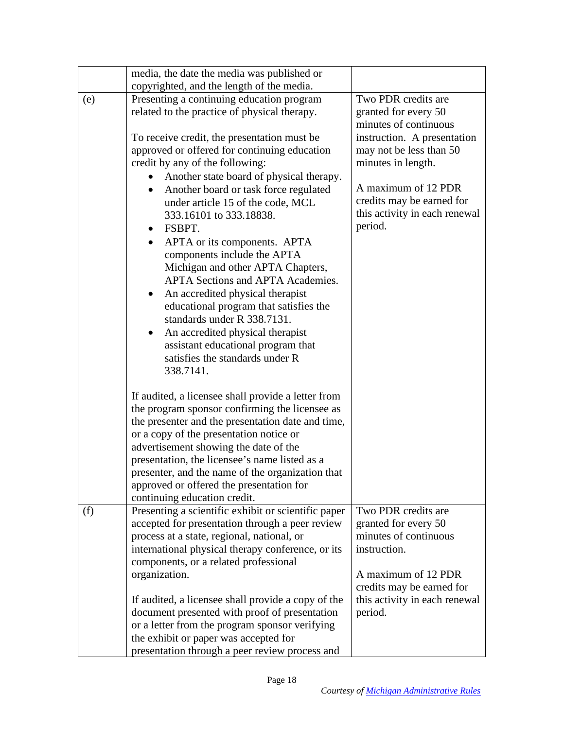|     | media, the date the media was published or<br>copyrighted, and the length of the media.                                                                                                                                                                                                                                                                                                                                        |                                                                                              |
|-----|--------------------------------------------------------------------------------------------------------------------------------------------------------------------------------------------------------------------------------------------------------------------------------------------------------------------------------------------------------------------------------------------------------------------------------|----------------------------------------------------------------------------------------------|
| (e) | Presenting a continuing education program<br>related to the practice of physical therapy.                                                                                                                                                                                                                                                                                                                                      | Two PDR credits are<br>granted for every 50                                                  |
|     | To receive credit, the presentation must be.                                                                                                                                                                                                                                                                                                                                                                                   | minutes of continuous<br>instruction. A presentation                                         |
|     | approved or offered for continuing education<br>credit by any of the following:                                                                                                                                                                                                                                                                                                                                                | may not be less than 50<br>minutes in length.                                                |
|     | Another state board of physical therapy.<br>Another board or task force regulated<br>$\bullet$<br>under article 15 of the code, MCL<br>333.16101 to 333.18838.<br>FSBPT.<br>$\bullet$<br>APTA or its components. APTA<br>$\bullet$<br>components include the APTA<br>Michigan and other APTA Chapters,                                                                                                                         | A maximum of 12 PDR<br>credits may be earned for<br>this activity in each renewal<br>period. |
|     | <b>APTA Sections and APTA Academies.</b><br>An accredited physical therapist<br>$\bullet$<br>educational program that satisfies the<br>standards under R 338.7131.<br>An accredited physical therapist<br>$\bullet$<br>assistant educational program that<br>satisfies the standards under R<br>338.7141.                                                                                                                      |                                                                                              |
|     | If audited, a licensee shall provide a letter from<br>the program sponsor confirming the licensee as<br>the presenter and the presentation date and time,<br>or a copy of the presentation notice or<br>advertisement showing the date of the<br>presentation, the licensee's name listed as a<br>presenter, and the name of the organization that<br>approved or offered the presentation for<br>continuing education credit. |                                                                                              |
| (f) | Presenting a scientific exhibit or scientific paper<br>accepted for presentation through a peer review<br>process at a state, regional, national, or<br>international physical therapy conference, or its<br>components, or a related professional                                                                                                                                                                             | Two PDR credits are<br>granted for every 50<br>minutes of continuous<br>instruction.         |
|     | organization.<br>If audited, a licensee shall provide a copy of the<br>document presented with proof of presentation<br>or a letter from the program sponsor verifying<br>the exhibit or paper was accepted for<br>presentation through a peer review process and                                                                                                                                                              | A maximum of 12 PDR<br>credits may be earned for<br>this activity in each renewal<br>period. |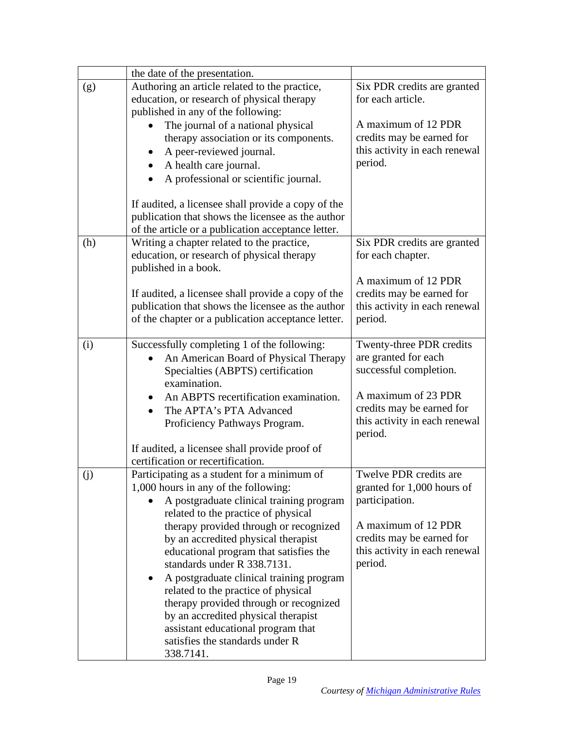|     | the date of the presentation.                                                 |                                          |
|-----|-------------------------------------------------------------------------------|------------------------------------------|
| (g) | Authoring an article related to the practice,                                 | Six PDR credits are granted              |
|     | education, or research of physical therapy                                    | for each article.                        |
|     | published in any of the following:                                            |                                          |
|     | The journal of a national physical                                            | A maximum of 12 PDR                      |
|     | therapy association or its components.                                        | credits may be earned for                |
|     | A peer-reviewed journal.                                                      | this activity in each renewal            |
|     | A health care journal.                                                        | period.                                  |
|     | A professional or scientific journal.                                         |                                          |
|     |                                                                               |                                          |
|     | If audited, a licensee shall provide a copy of the                            |                                          |
|     | publication that shows the licensee as the author                             |                                          |
|     | of the article or a publication acceptance letter.                            |                                          |
| (h) | Writing a chapter related to the practice,                                    | Six PDR credits are granted              |
|     | education, or research of physical therapy<br>published in a book.            | for each chapter.                        |
|     |                                                                               | A maximum of 12 PDR                      |
|     | If audited, a licensee shall provide a copy of the                            | credits may be earned for                |
|     | publication that shows the licensee as the author                             | this activity in each renewal            |
|     | of the chapter or a publication acceptance letter.                            | period.                                  |
|     |                                                                               |                                          |
| (i) | Successfully completing 1 of the following:                                   | Twenty-three PDR credits                 |
|     | An American Board of Physical Therapy                                         | are granted for each                     |
|     | Specialties (ABPTS) certification                                             | successful completion.                   |
|     | examination.                                                                  |                                          |
|     | An ABPTS recertification examination.                                         | A maximum of 23 PDR                      |
|     | The APTA's PTA Advanced                                                       | credits may be earned for                |
|     | Proficiency Pathways Program.                                                 | this activity in each renewal            |
|     |                                                                               | period.                                  |
|     | If audited, a licensee shall provide proof of                                 |                                          |
|     | certification or recertification.                                             |                                          |
| (j) | Participating as a student for a minimum of                                   | Twelve PDR credits are                   |
|     | 1,000 hours in any of the following:                                          | granted for 1,000 hours of               |
|     | A postgraduate clinical training program                                      | participation.                           |
|     | related to the practice of physical                                           |                                          |
|     | therapy provided through or recognized                                        | A maximum of 12 PDR                      |
|     | by an accredited physical therapist                                           | credits may be earned for                |
|     | educational program that satisfies the<br>standards under R 338.7131.         | this activity in each renewal<br>period. |
|     |                                                                               |                                          |
|     | A postgraduate clinical training program                                      |                                          |
|     | related to the practice of physical                                           |                                          |
|     | therapy provided through or recognized<br>by an accredited physical therapist |                                          |
|     | assistant educational program that                                            |                                          |
|     | satisfies the standards under R                                               |                                          |
|     | 338.7141.                                                                     |                                          |
|     |                                                                               |                                          |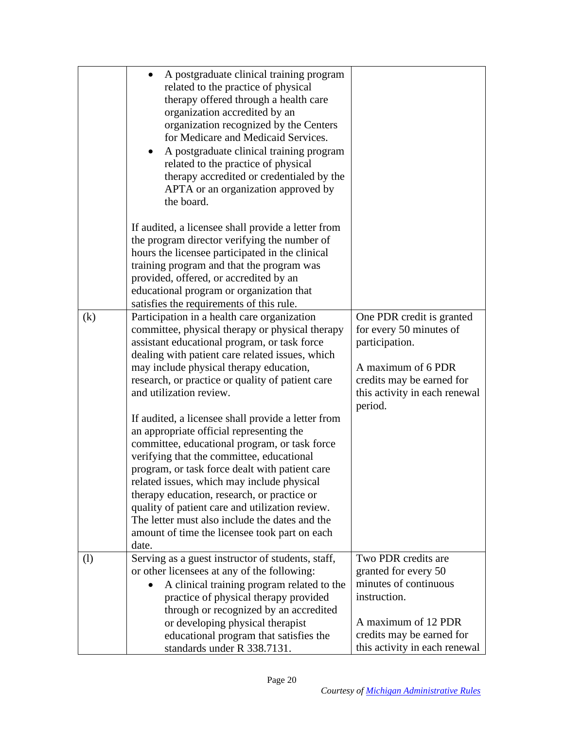|     | A postgraduate clinical training program<br>related to the practice of physical<br>therapy offered through a health care<br>organization accredited by an<br>organization recognized by the Centers<br>for Medicare and Medicaid Services.<br>A postgraduate clinical training program<br>related to the practice of physical<br>therapy accredited or credentialed by the<br>APTA or an organization approved by<br>the board.                                                                            |                                                                                                                                                                           |
|-----|------------------------------------------------------------------------------------------------------------------------------------------------------------------------------------------------------------------------------------------------------------------------------------------------------------------------------------------------------------------------------------------------------------------------------------------------------------------------------------------------------------|---------------------------------------------------------------------------------------------------------------------------------------------------------------------------|
|     | If audited, a licensee shall provide a letter from<br>the program director verifying the number of<br>hours the licensee participated in the clinical<br>training program and that the program was<br>provided, offered, or accredited by an<br>educational program or organization that<br>satisfies the requirements of this rule.                                                                                                                                                                       |                                                                                                                                                                           |
| (k) | Participation in a health care organization<br>committee, physical therapy or physical therapy<br>assistant educational program, or task force<br>dealing with patient care related issues, which<br>may include physical therapy education,<br>research, or practice or quality of patient care<br>and utilization review.                                                                                                                                                                                | One PDR credit is granted<br>for every 50 minutes of<br>participation.<br>A maximum of 6 PDR<br>credits may be earned for<br>this activity in each renewal<br>period.     |
|     | If audited, a licensee shall provide a letter from<br>an appropriate official representing the<br>committee, educational program, or task force<br>verifying that the committee, educational<br>program, or task force dealt with patient care<br>related issues, which may include physical<br>therapy education, research, or practice or<br>quality of patient care and utilization review.<br>The letter must also include the dates and the<br>amount of time the licensee took part on each<br>date. |                                                                                                                                                                           |
| (1) | Serving as a guest instructor of students, staff,<br>or other licensees at any of the following:<br>A clinical training program related to the<br>practice of physical therapy provided<br>through or recognized by an accredited<br>or developing physical therapist<br>educational program that satisfies the<br>standards under R 338.7131.                                                                                                                                                             | Two PDR credits are<br>granted for every 50<br>minutes of continuous<br>instruction.<br>A maximum of 12 PDR<br>credits may be earned for<br>this activity in each renewal |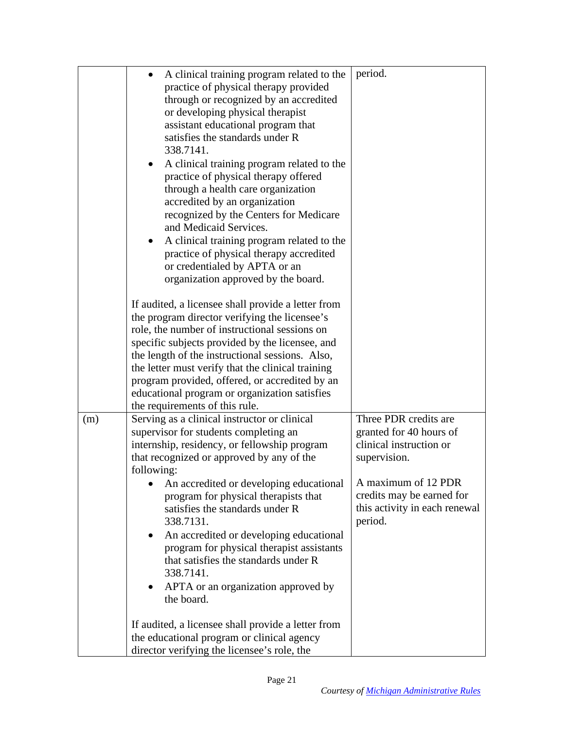|     | A clinical training program related to the              | period.                       |
|-----|---------------------------------------------------------|-------------------------------|
|     | practice of physical therapy provided                   |                               |
|     | through or recognized by an accredited                  |                               |
|     | or developing physical therapist                        |                               |
|     |                                                         |                               |
|     | assistant educational program that                      |                               |
|     | satisfies the standards under R                         |                               |
|     | 338.7141.                                               |                               |
|     | A clinical training program related to the              |                               |
|     | practice of physical therapy offered                    |                               |
|     | through a health care organization                      |                               |
|     | accredited by an organization                           |                               |
|     | recognized by the Centers for Medicare                  |                               |
|     | and Medicaid Services.                                  |                               |
|     | A clinical training program related to the<br>$\bullet$ |                               |
|     | practice of physical therapy accredited                 |                               |
|     | or credentialed by APTA or an                           |                               |
|     | organization approved by the board.                     |                               |
|     |                                                         |                               |
|     | If audited, a licensee shall provide a letter from      |                               |
|     | the program director verifying the licensee's           |                               |
|     | role, the number of instructional sessions on           |                               |
|     | specific subjects provided by the licensee, and         |                               |
|     | the length of the instructional sessions. Also,         |                               |
|     |                                                         |                               |
|     | the letter must verify that the clinical training       |                               |
|     | program provided, offered, or accredited by an          |                               |
|     | educational program or organization satisfies           |                               |
|     | the requirements of this rule.                          |                               |
| (m) | Serving as a clinical instructor or clinical            | Three PDR credits are         |
|     | supervisor for students completing an                   | granted for 40 hours of       |
|     | internship, residency, or fellowship program            | clinical instruction or       |
|     | that recognized or approved by any of the               | supervision.                  |
|     | following:                                              |                               |
|     | An accredited or developing educational                 | A maximum of 12 PDR           |
|     | program for physical therapists that                    | credits may be earned for     |
|     | satisfies the standards under R                         | this activity in each renewal |
|     | 338.7131.                                               | period.                       |
|     | An accredited or developing educational                 |                               |
|     | program for physical therapist assistants               |                               |
|     | that satisfies the standards under R                    |                               |
|     | 338.7141.                                               |                               |
|     | APTA or an organization approved by<br>$\bullet$        |                               |
|     | the board.                                              |                               |
|     |                                                         |                               |
|     | If audited, a licensee shall provide a letter from      |                               |
|     | the educational program or clinical agency              |                               |
|     | director verifying the licensee's role, the             |                               |
|     |                                                         |                               |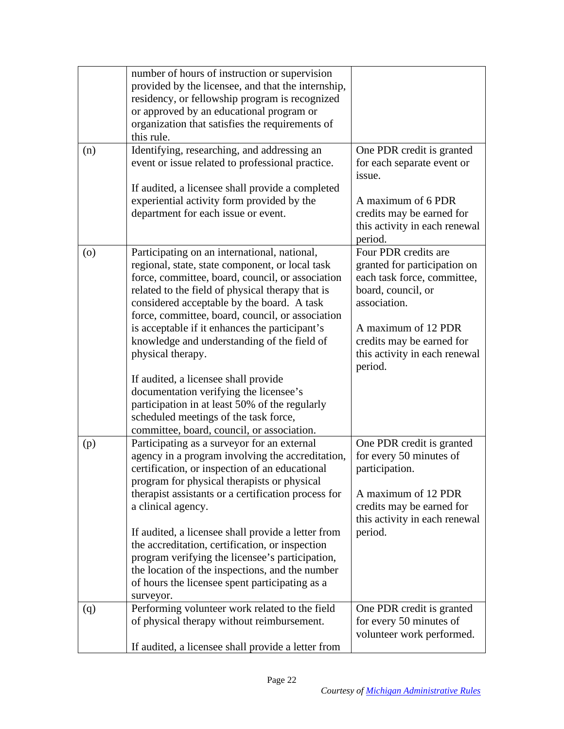|     | number of hours of instruction or supervision<br>provided by the licensee, and that the internship,<br>residency, or fellowship program is recognized<br>or approved by an educational program or<br>organization that satisfies the requirements of<br>this rule.                                        |                                                                                                                           |
|-----|-----------------------------------------------------------------------------------------------------------------------------------------------------------------------------------------------------------------------------------------------------------------------------------------------------------|---------------------------------------------------------------------------------------------------------------------------|
| (n) | Identifying, researching, and addressing an<br>event or issue related to professional practice.<br>If audited, a licensee shall provide a completed                                                                                                                                                       | One PDR credit is granted<br>for each separate event or<br>issue.                                                         |
|     | experiential activity form provided by the<br>department for each issue or event.                                                                                                                                                                                                                         | A maximum of 6 PDR<br>credits may be earned for<br>this activity in each renewal<br>period.                               |
| (0) | Participating on an international, national,<br>regional, state, state component, or local task<br>force, committee, board, council, or association<br>related to the field of physical therapy that is<br>considered acceptable by the board. A task<br>force, committee, board, council, or association | Four PDR credits are<br>granted for participation on<br>each task force, committee,<br>board, council, or<br>association. |
|     | is acceptable if it enhances the participant's<br>knowledge and understanding of the field of<br>physical therapy.                                                                                                                                                                                        | A maximum of 12 PDR<br>credits may be earned for<br>this activity in each renewal<br>period.                              |
|     | If audited, a licensee shall provide<br>documentation verifying the licensee's<br>participation in at least 50% of the regularly<br>scheduled meetings of the task force,<br>committee, board, council, or association.                                                                                   |                                                                                                                           |
| (p) | Participating as a surveyor for an external<br>agency in a program involving the accreditation,<br>certification, or inspection of an educational<br>program for physical therapists or physical                                                                                                          | One PDR credit is granted<br>for every 50 minutes of<br>participation.                                                    |
|     | therapist assistants or a certification process for<br>a clinical agency.                                                                                                                                                                                                                                 | A maximum of 12 PDR<br>credits may be earned for<br>this activity in each renewal                                         |
|     | If audited, a licensee shall provide a letter from<br>the accreditation, certification, or inspection<br>program verifying the licensee's participation,<br>the location of the inspections, and the number<br>of hours the licensee spent participating as a<br>surveyor.                                | period.                                                                                                                   |
| (q) | Performing volunteer work related to the field<br>of physical therapy without reimbursement.                                                                                                                                                                                                              | One PDR credit is granted<br>for every 50 minutes of<br>volunteer work performed.                                         |
|     | If audited, a licensee shall provide a letter from                                                                                                                                                                                                                                                        |                                                                                                                           |